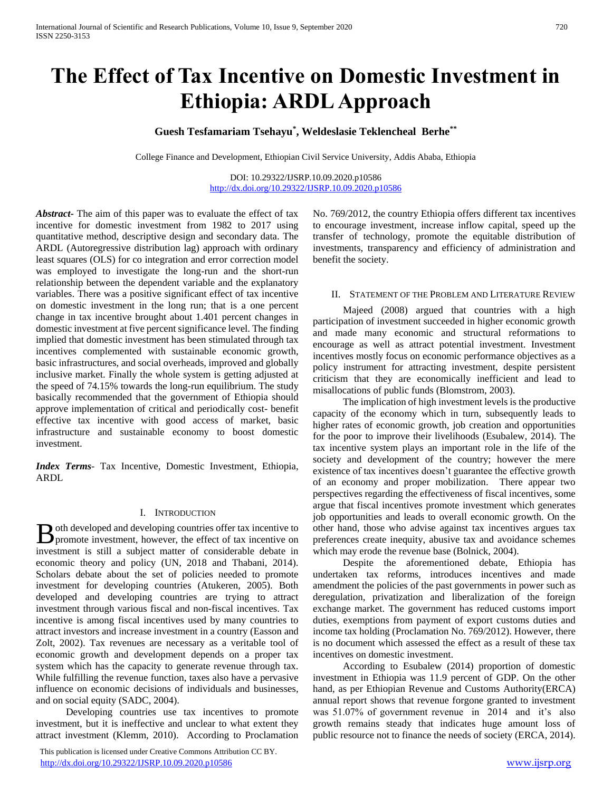# **The Effect of Tax Incentive on Domestic Investment in Ethiopia: ARDL Approach**

# **Guesh Tesfamariam Tsehayu\* , Weldeslasie Teklencheal Berhe\*\***

College Finance and Development, Ethiopian Civil Service University, Addis Ababa, Ethiopia

DOI: 10.29322/IJSRP.10.09.2020.p10586 <http://dx.doi.org/10.29322/IJSRP.10.09.2020.p10586>

*Abstract***-** The aim of this paper was to evaluate the effect of tax incentive for domestic investment from 1982 to 2017 using quantitative method, descriptive design and secondary data. The ARDL (Autoregressive distribution lag) approach with ordinary least squares (OLS) for co integration and error correction model was employed to investigate the long-run and the short-run relationship between the dependent variable and the explanatory variables. There was a positive significant effect of tax incentive on domestic investment in the long run; that is a one percent change in tax incentive brought about 1.401 percent changes in domestic investment at five percent significance level. The finding implied that domestic investment has been stimulated through tax incentives complemented with sustainable economic growth, basic infrastructures, and social overheads, improved and globally inclusive market. Finally the whole system is getting adjusted at the speed of 74.15% towards the long-run equilibrium. The study basically recommended that the government of Ethiopia should approve implementation of critical and periodically cost- benefit effective tax incentive with good access of market, basic infrastructure and sustainable economy to boost domestic investment.

*Index Terms*- Tax Incentive, Domestic Investment, Ethiopia, ARDL

#### I. INTRODUCTION

oth developed and developing countries offer tax incentive to **B** oth developed and developing countries offer tax incentive to promote investment, however, the effect of tax incentive on investment is still a subject matter of considerable debate in economic theory and policy (UN, 2018 and Thabani, 2014). Scholars debate about the set of policies needed to promote investment for developing countries (Atukeren, 2005). Both developed and developing countries are trying to attract investment through various fiscal and non-fiscal incentives. Tax incentive is among fiscal incentives used by many countries to attract investors and increase investment in a country (Easson and Zolt, 2002). Tax revenues are necessary as a veritable tool of economic growth and development depends on a proper tax system which has the capacity to generate revenue through tax. While fulfilling the revenue function, taxes also have a pervasive influence on economic decisions of individuals and businesses, and on social equity (SADC, 2004).

 Developing countries use tax incentives to promote investment, but it is ineffective and unclear to what extent they attract investment (Klemm, 2010). According to Proclamation

 This publication is licensed under Creative Commons Attribution CC BY. <http://dx.doi.org/10.29322/IJSRP.10.09.2020.p10586> [www.ijsrp.org](http://ijsrp.org/)

No. 769/2012, the country Ethiopia offers different tax incentives to encourage investment, increase inflow capital, speed up the transfer of technology, promote the equitable distribution of investments, transparency and efficiency of administration and benefit the society.

#### II. STATEMENT OF THE PROBLEM AND LITERATURE REVIEW

 Majeed (2008) argued that countries with a high participation of investment succeeded in higher economic growth and made many economic and structural reformations to encourage as well as attract potential investment. Investment incentives mostly focus on economic performance objectives as a policy instrument for attracting investment, despite persistent criticism that they are economically inefficient and lead to misallocations of public funds (Blomstrom, 2003).

 The implication of high investment levels is the productive capacity of the economy which in turn, subsequently leads to higher rates of economic growth, job creation and opportunities for the poor to improve their livelihoods (Esubalew, 2014). The tax incentive system plays an important role in the life of the society and development of the country; however the mere existence of tax incentives doesn't guarantee the effective growth of an economy and proper mobilization. There appear two perspectives regarding the effectiveness of fiscal incentives, some argue that fiscal incentives promote investment which generates job opportunities and leads to overall economic growth. On the other hand, those who advise against tax incentives argues tax preferences create inequity, abusive tax and avoidance schemes which may erode the revenue base (Bolnick, 2004).

 Despite the aforementioned debate, Ethiopia has undertaken tax reforms, introduces incentives and made amendment the policies of the past governments in power such as deregulation, privatization and liberalization of the foreign exchange market. The government has reduced customs import duties, exemptions from payment of export customs duties and income tax holding (Proclamation No. 769/2012). However, there is no document which assessed the effect as a result of these tax incentives on domestic investment.

 According to Esubalew (2014) proportion of domestic investment in Ethiopia was 11.9 percent of GDP. On the other hand, as per Ethiopian Revenue and Customs Authority(ERCA) annual report shows that revenue forgone granted to investment was 51.07% of government revenue in 2014 and it's also growth remains steady that indicates huge amount loss of public resource not to finance the needs of society (ERCA, 2014).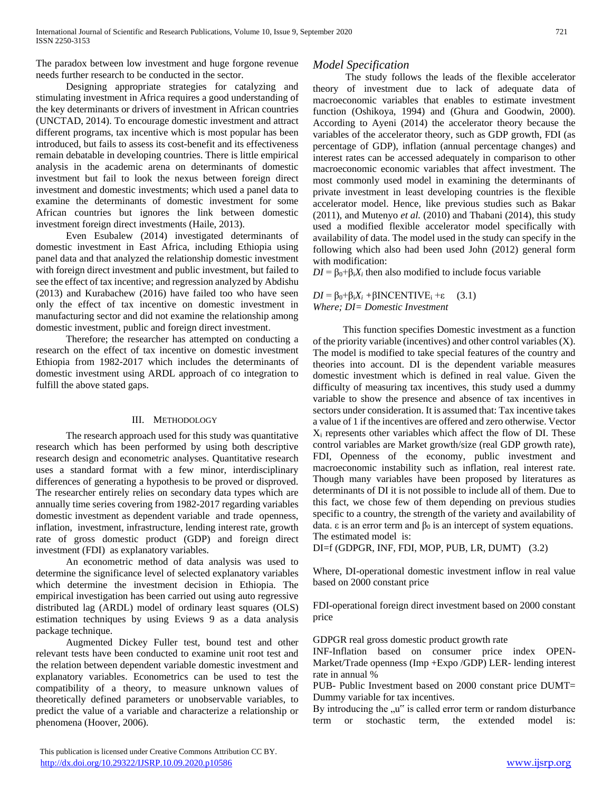The paradox between low investment and huge forgone revenue needs further research to be conducted in the sector.

 Designing appropriate strategies for catalyzing and stimulating investment in Africa requires a good understanding of the key determinants or drivers of investment in African countries (UNCTAD, 2014). To encourage domestic investment and attract different programs, tax incentive which is most popular has been introduced, but fails to assess its cost-benefit and its effectiveness remain debatable in developing countries. There is little empirical analysis in the academic arena on determinants of domestic investment but fail to look the nexus between foreign direct investment and domestic investments; which used a panel data to examine the determinants of domestic investment for some African countries but ignores the link between domestic investment foreign direct investments (Haile, 2013).

 Even Esubalew (2014) investigated determinants of domestic investment in East Africa, including Ethiopia using panel data and that analyzed the relationship domestic investment with foreign direct investment and public investment, but failed to see the effect of tax incentive; and regression analyzed by Abdishu (2013) and Kurabachew (2016) have failed too who have seen only the effect of tax incentive on domestic investment in manufacturing sector and did not examine the relationship among domestic investment, public and foreign direct investment.

 Therefore; the researcher has attempted on conducting a research on the effect of tax incentive on domestic investment Ethiopia from 1982-2017 which includes the determinants of domestic investment using ARDL approach of co integration to fulfill the above stated gaps.

#### III. METHODOLOGY

 The research approach used for this study was quantitative research which has been performed by using both descriptive research design and econometric analyses. Quantitative research uses a standard format with a few minor, interdisciplinary differences of generating a hypothesis to be proved or disproved. The researcher entirely relies on secondary data types which are annually time series covering from 1982-2017 regarding variables domestic investment as dependent variable and trade openness, inflation, investment, infrastructure, lending interest rate, growth rate of gross domestic product (GDP) and foreign direct investment (FDI) as explanatory variables.

 An econometric method of data analysis was used to determine the significance level of selected explanatory variables which determine the investment decision in Ethiopia. The empirical investigation has been carried out using auto regressive distributed lag (ARDL) model of ordinary least squares (OLS) estimation techniques by using Eviews 9 as a data analysis package technique.

 Augmented Dickey Fuller test, bound test and other relevant tests have been conducted to examine unit root test and the relation between dependent variable domestic investment and explanatory variables. Econometrics can be used to test the compatibility of a theory, to measure unknown values of theoretically defined parameters or unobservable variables, to predict the value of a variable and characterize a relationship or phenomena (Hoover, 2006).

## *Model Specification*

 The study follows the leads of the flexible accelerator theory of investment due to lack of adequate data of macroeconomic variables that enables to estimate investment function (Oshikoya, 1994) and (Ghura and Goodwin, 2000). According to Ayeni (2014) the accelerator theory because the variables of the accelerator theory, such as GDP growth, FDI (as percentage of GDP), inflation (annual percentage changes) and interest rates can be accessed adequately in comparison to other macroeconomic economic variables that affect investment. The most commonly used model in examining the determinants of private investment in least developing countries is the flexible accelerator model. Hence, like previous studies such as Bakar (2011), and Mutenyo *et al.* (2010) and Thabani (2014), this study used a modified flexible accelerator model specifically with availability of data. The model used in the study can specify in the following which also had been used John (2012) general form with modification:

 $DI = \beta_0 + \beta_i X_i$  then also modified to include focus variable

 $DI = \beta_0 + \beta_i X_i + \beta INCENTIVE_i + \varepsilon$  (3.1) *Where; DI= Domestic Investment*

 This function specifies Domestic investment as a function of the priority variable (incentives) and other control variables (X). The model is modified to take special features of the country and theories into account. DI is the dependent variable measures domestic investment which is defined in real value. Given the difficulty of measuring tax incentives, this study used a dummy variable to show the presence and absence of tax incentives in sectors under consideration. It is assumed that: Tax incentive takes a value of 1 if the incentives are offered and zero otherwise. Vector X<sup>i</sup> represents other variables which affect the flow of DI. These control variables are Market growth/size (real GDP growth rate), FDI, Openness of the economy, public investment and macroeconomic instability such as inflation, real interest rate. Though many variables have been proposed by literatures as determinants of DI it is not possible to include all of them. Due to this fact, we chose few of them depending on previous studies specific to a country, the strength of the variety and availability of data. ε is an error term and  $β_0$  is an intercept of system equations. The estimated model is:

DI=f (GDPGR, INF, FDI, MOP, PUB, LR, DUMT) (3.2)

Where, DI-operational domestic investment inflow in real value based on 2000 constant price

FDI-operational foreign direct investment based on 2000 constant price

GDPGR real gross domestic product growth rate

INF-Inflation based on consumer price index OPEN-Market/Trade openness (Imp +Expo /GDP) LER- lending interest rate in annual %

PUB- Public Investment based on 2000 constant price DUMT= Dummy variable for tax incentives.

By introducing the  $\mu$ " is called error term or random disturbance term or stochastic term, the extended model is: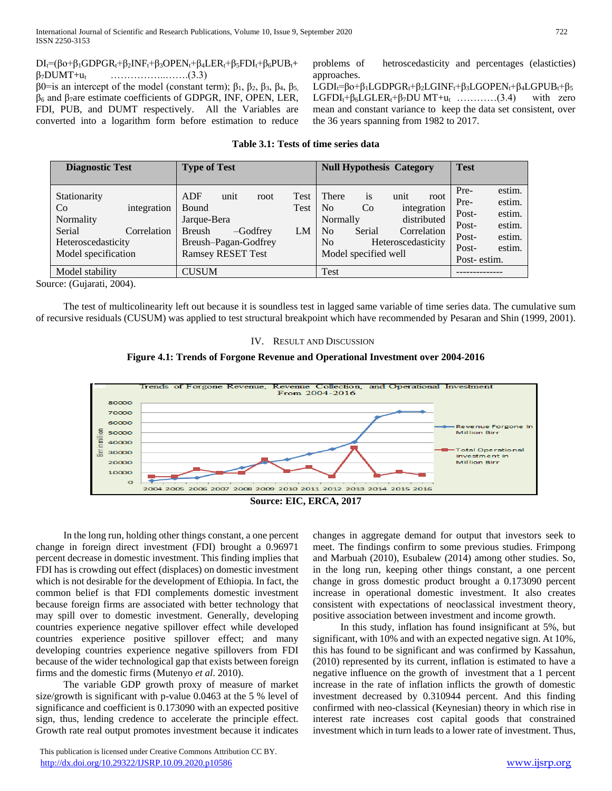$DI_f=(\beta o+\beta_1 GDPGR_t+\beta_2INF_t+\beta_3OPEN_t+\beta_4LER_t+\beta_5FDI_t+\beta_6PUB_t+$  $\beta_7$ DUMT+u<sub>t</sub> ……………………..(3.3) β0=is an intercept of the model (constant term);  $β_1$ ,  $β_2$ ,  $β_3$ ,  $β_4$ ,  $β_5$ ,  $β<sub>6</sub>$  and  $β<sub>7</sub>$ are estimate coefficients of GDPGR, INF, OPEN, LER, FDI, PUB, and DUMT respectively. All the Variables are converted into a logarithm form before estimation to reduce problems of hetroscedasticity and percentages (elasticties) approaches.

LGDI<sub>t</sub>=βo+β<sub>1</sub>LGDPGR<sub>t</sub>+β<sub>2</sub>LGINF<sub>t</sub>+β<sub>3</sub>LGOPEN<sub>t</sub>+β<sub>4</sub>LGPUB<sub>t</sub>+β<sub>5</sub> LGFDI<sub>t</sub>+ $\beta_6$ LGLER<sub>t</sub>+ $\beta_7$ DU MT+u<sub>t</sub> …………(3.4) with zero mean and constant variance to keep the data set consistent, over the 36 years spanning from 1982 to 2017.

#### **Table 3.1: Tests of time series data**

| <b>Diagnostic Test</b>                                                                                                           | <b>Type of Test</b>                                                                                                                           | <b>Null Hypothesis Category</b>                                                                                                                                                              | <b>Test</b>                                                                                                                 |
|----------------------------------------------------------------------------------------------------------------------------------|-----------------------------------------------------------------------------------------------------------------------------------------------|----------------------------------------------------------------------------------------------------------------------------------------------------------------------------------------------|-----------------------------------------------------------------------------------------------------------------------------|
| Stationarity<br>integration<br>C <sub>o</sub><br>Normality<br>Serial<br>Correlation<br>Heteroscedasticity<br>Model specification | ADF<br>unit<br>Test<br>root<br>Bound<br>Test<br>Jarque-Bera<br>Breush<br>$-Godfrey$<br>LM<br>Breush-Pagan-Godfrey<br><b>Ramsey RESET Test</b> | is<br>There<br>unit<br>root<br>N <sub>0</sub><br>Co<br>integration<br>distributed<br>Normally<br>Correlation<br>No<br>Serial<br>Heteroscedasticity<br>N <sub>0</sub><br>Model specified well | estim.<br>Pre-<br>estim.<br>Pre-<br>estim.<br>Post-<br>estim.<br>Post-<br>estim.<br>Post-<br>estim.<br>Post-<br>Post-estim. |
| Model stability                                                                                                                  | <b>CUSUM</b>                                                                                                                                  | <b>Test</b>                                                                                                                                                                                  |                                                                                                                             |

Source: (Gujarati, 2004).

 The test of multicolinearity left out because it is soundless test in lagged same variable of time series data. The cumulative sum of recursive residuals (CUSUM) was applied to test structural breakpoint which have recommended by Pesaran and Shin (1999, 2001).

#### IV. RESULT AND DISCUSSION





 In the long run, holding other things constant, a one percent change in foreign direct investment (FDI) brought a 0.96971 percent decrease in domestic investment. This finding implies that FDI has is crowding out effect (displaces) on domestic investment which is not desirable for the development of Ethiopia. In fact, the common belief is that FDI complements domestic investment because foreign firms are associated with better technology that may spill over to domestic investment. Generally, developing countries experience negative spillover effect while developed countries experience positive spillover effect; and many developing countries experience negative spillovers from FDI because of the wider technological gap that exists between foreign firms and the domestic firms (Mutenyo *et al*. 2010).

 The variable GDP growth proxy of measure of market size/growth is significant with p-value 0.0463 at the 5 % level of significance and coefficient is 0.173090 with an expected positive sign, thus, lending credence to accelerate the principle effect. Growth rate real output promotes investment because it indicates

changes in aggregate demand for output that investors seek to meet. The findings confirm to some previous studies. Frimpong and Marbuah (2010), Esubalew (2014) among other studies. So, in the long run, keeping other things constant, a one percent change in gross domestic product brought a 0.173090 percent increase in operational domestic investment. It also creates consistent with expectations of neoclassical investment theory, positive association between investment and income growth.

 In this study, inflation has found insignificant at 5%, but significant, with 10% and with an expected negative sign. At 10%, this has found to be significant and was confirmed by Kassahun, (2010) represented by its current, inflation is estimated to have a negative influence on the growth of investment that a 1 percent increase in the rate of inflation inflicts the growth of domestic investment decreased by 0.310944 percent. And this finding confirmed with neo-classical (Keynesian) theory in which rise in interest rate increases cost capital goods that constrained investment which in turn leads to a lower rate of investment. Thus,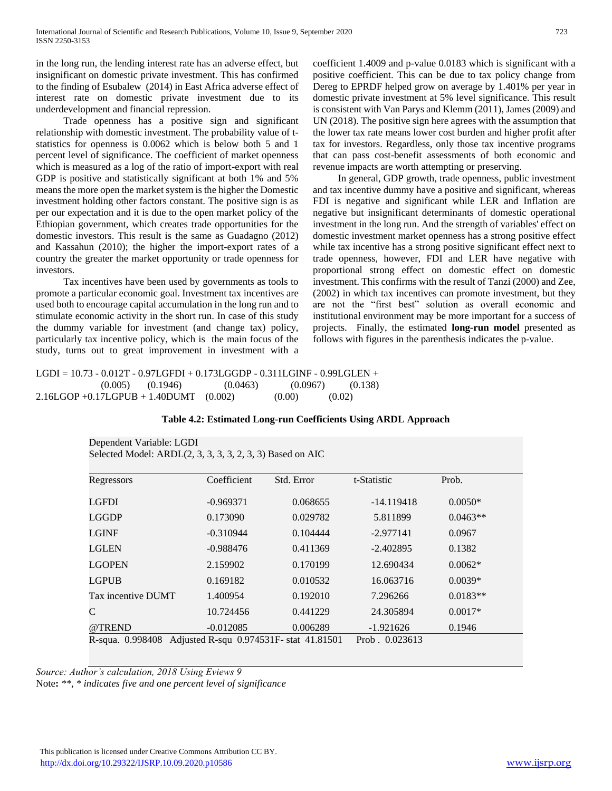in the long run, the lending interest rate has an adverse effect, but insignificant on domestic private investment. This has confirmed to the finding of Esubalew (2014) in East Africa adverse effect of interest rate on domestic private investment due to its underdevelopment and financial repression.

 Trade openness has a positive sign and significant relationship with domestic investment. The probability value of tstatistics for openness is 0.0062 which is below both 5 and 1 percent level of significance. The coefficient of market openness which is measured as a log of the ratio of import-export with real GDP is positive and statistically significant at both 1% and 5% means the more open the market system is the higher the Domestic investment holding other factors constant. The positive sign is as per our expectation and it is due to the open market policy of the Ethiopian government, which creates trade opportunities for the domestic investors. This result is the same as Guadagno (2012) and Kassahun (2010); the higher the import-export rates of a country the greater the market opportunity or trade openness for investors.

 Tax incentives have been used by governments as tools to promote a particular economic goal. Investment tax incentives are used both to encourage capital accumulation in the long run and to stimulate economic activity in the short run. In case of this study the dummy variable for investment (and change tax) policy, particularly tax incentive policy, which is the main focus of the study, turns out to great improvement in investment with a

coefficient 1.4009 and p-value 0.0183 which is significant with a positive coefficient. This can be due to tax policy change from Dereg to EPRDF helped grow on average by 1.401% per year in domestic private investment at 5% level significance. This result is consistent with Van Parys and Klemm (2011), James (2009) and UN (2018). The positive sign here agrees with the assumption that the lower tax rate means lower cost burden and higher profit after tax for investors. Regardless, only those tax incentive programs that can pass cost-benefit assessments of both economic and revenue impacts are worth attempting or preserving.

 In general, GDP growth, trade openness, public investment and tax incentive dummy have a positive and significant, whereas FDI is negative and significant while LER and Inflation are negative but insignificant determinants of domestic operational investment in the long run. And the strength of variables' effect on domestic investment market openness has a strong positive effect while tax incentive has a strong positive significant effect next to trade openness, however, FDI and LER have negative with proportional strong effect on domestic effect on domestic investment. This confirms with the result of Tanzi (2000) and Zee, (2002) in which tax incentives can promote investment, but they are not the "first best" solution as overall economic and institutional environment may be more important for a success of projects. Finally, the estimated **long-run model** presented as follows with figures in the parenthesis indicates the p-value.

### LGDI = 10.73 - 0.012T - 0.97LGFDI + 0.173LGGDP - 0.311LGINF - 0.99LGLEN +  $(0.005)$   $(0.1946)$   $(0.0463)$   $(0.0967)$   $(0.138)$  $2.16LGOP + 0.17LGPUB + 1.40DUMT$  (0.002) (0.00) (0.02)

| Dependent Variable: LGDI<br>Selected Model: ARDL(2, 3, 3, 3, 3, 2, 3, 3) Based on AIC |                                                        |            |                                 |            |  |  |  |  |
|---------------------------------------------------------------------------------------|--------------------------------------------------------|------------|---------------------------------|------------|--|--|--|--|
| Regressors                                                                            | Coefficient                                            | Std. Error | t-Statistic                     | Prob.      |  |  |  |  |
| LGFDI                                                                                 | $-0.969371$                                            | 0.068655   | $-14.119418$                    | $0.0050*$  |  |  |  |  |
| LGGDP                                                                                 | 0.173090                                               | 0.029782   | 5.811899                        | $0.0463**$ |  |  |  |  |
| LGINF                                                                                 | $-0.310944$                                            | 0.104444   | $-2.977141$                     | 0.0967     |  |  |  |  |
| LGLEN                                                                                 | $-0.988476$                                            | 0.411369   | $-2.402895$                     | 0.1382     |  |  |  |  |
| <b>LGOPEN</b>                                                                         | 2.159902                                               | 0.170199   | 12.690434                       | $0.0062*$  |  |  |  |  |
| <b>LGPUB</b>                                                                          | 0.169182                                               | 0.010532   | 16.063716                       | $0.0039*$  |  |  |  |  |
| Tax incentive DUMT                                                                    | 1.400954                                               | 0.192010   | 7.296266                        | $0.0183**$ |  |  |  |  |
| C                                                                                     | 10.724456                                              | 0.441229   | 24.305894                       | $0.0017*$  |  |  |  |  |
| @TREND<br>R-squa. 0.998408                                                            | $-0.012085$<br>Adjusted R-squ 0.974531F- stat 41.81501 | 0.006289   | $-1.921626$<br>Prob. $0.023613$ | 0.1946     |  |  |  |  |

#### **Table 4.2: Estimated Long-run Coefficients Using ARDL Approach**

*Source: Author's calculation, 2018 Using Eviews 9*

Note**:** *\*\*, \* indicates five and one percent level of significance*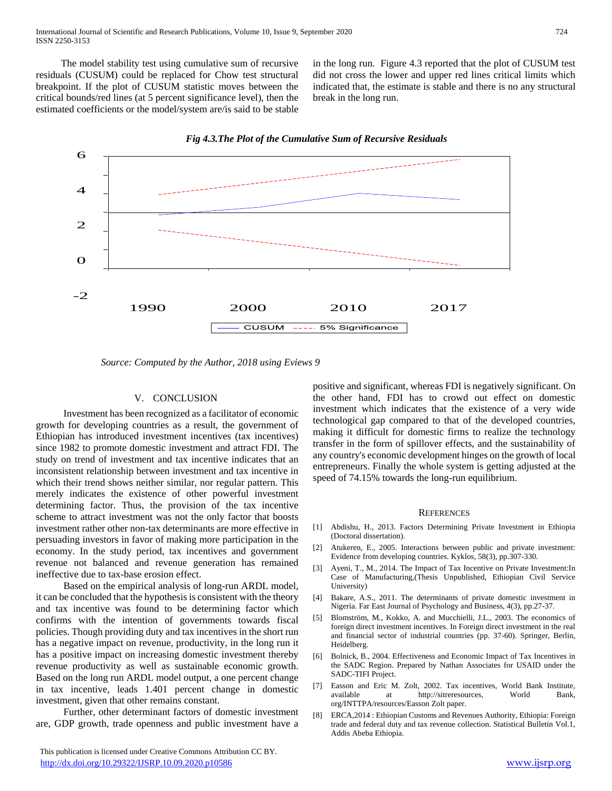The model stability test using cumulative sum of recursive residuals (CUSUM) could be replaced for Chow test structural breakpoint. If the plot of CUSUM statistic moves between the critical bounds/red lines (at 5 percent significance level), then the estimated coefficients or the model/system are/is said to be stable in the long run. Figure 4.3 reported that the plot of CUSUM test did not cross the lower and upper red lines critical limits which indicated that, the estimate is stable and there is no any structural break in the long run.





 *Source: Computed by the Author, 2018 using Eviews 9*

#### V. CONCLUSION

 Investment has been recognized as a facilitator of economic growth for developing countries as a result, the government of Ethiopian has introduced investment incentives (tax incentives) since 1982 to promote domestic investment and attract FDI. The study on trend of investment and tax incentive indicates that an inconsistent relationship between investment and tax incentive in which their trend shows neither similar, nor regular pattern. This merely indicates the existence of other powerful investment determining factor. Thus, the provision of the tax incentive scheme to attract investment was not the only factor that boosts investment rather other non-tax determinants are more effective in persuading investors in favor of making more participation in the economy. In the study period, tax incentives and government revenue not balanced and revenue generation has remained ineffective due to tax-base erosion effect.

 Based on the empirical analysis of long-run ARDL model, it can be concluded that the hypothesis is consistent with the theory and tax incentive was found to be determining factor which confirms with the intention of governments towards fiscal policies. Though providing duty and tax incentives in the short run has a negative impact on revenue, productivity, in the long run it has a positive impact on increasing domestic investment thereby revenue productivity as well as sustainable economic growth. Based on the long run ARDL model output, a one percent change in tax incentive, leads 1.401 percent change in domestic investment, given that other remains constant.

 Further, other determinant factors of domestic investment are, GDP growth, trade openness and public investment have a

positive and significant, whereas FDI is negatively significant. On the other hand, FDI has to crowd out effect on domestic investment which indicates that the existence of a very wide technological gap compared to that of the developed countries, making it difficult for domestic firms to realize the technology transfer in the form of spillover effects, and the sustainability of any country's economic development hinges on the growth of local entrepreneurs. Finally the whole system is getting adjusted at the speed of 74.15% towards the long-run equilibrium.

#### **REFERENCES**

- [1] Abdishu, H., 2013. Factors Determining Private Investment in Ethiopia (Doctoral dissertation).
- [2] Atukeren, E., 2005. Interactions between public and private investment: Evidence from developing countries. Kyklos, 58(3), pp.307-330.
- [3] Ayeni, T., M., 2014. The Impact of Tax Incentive on Private Investment:In Case of Manufacturing,(Thesis Unpublished, Ethiopian Civil Service University)
- [4] Bakare, A.S., 2011. The determinants of private domestic investment in Nigeria. Far East Journal of Psychology and Business, 4(3), pp.27-37.
- [5] Blomström, M., Kokko, A. and Mucchielli, J.L., 2003. The economics of foreign direct investment incentives. In Foreign direct investment in the real and financial sector of industrial countries (pp. 37-60). Springer, Berlin, Heidelberg.
- [6] Bolnick, B., 2004. Effectiveness and Economic Impact of Tax Incentives in the SADC Region. Prepared by Nathan Associates for USAID under the SADC-TIFI Project.
- [7] Easson and Eric M. Zolt, 2002. Tax incentives, World Bank Institute, available at http://sitreresources, World Bank, org/INTTPA/resources/Easson Zolt paper.
- [8] ERCA,2014 : Ethiopian Customs and Revenues Authority, Ethiopia: Foreign trade and federal duty and tax revenue collection. Statistical Bulletin Vol.1, Addis Abeba Ethiopia.